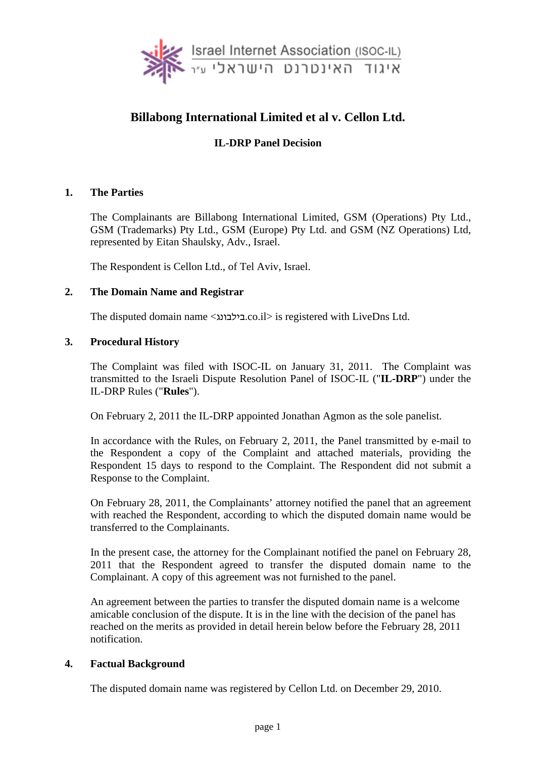

# **Billabong International Limited et al v. Cellon Ltd.**

# **IL-DRP Panel Decision**

### **1. The Parties**

The Complainants are Billabong International Limited, GSM (Operations) Pty Ltd., GSM (Trademarks) Pty Ltd., GSM (Europe) Pty Ltd. and GSM (NZ Operations) Ltd, represented by Eitan Shaulsky, Adv., Israel.

The Respondent is Cellon Ltd., of Tel Aviv, Israel.

### **2. The Domain Name and Registrar**

The disputed domain name <בילבונג.co.il> is registered with LiveDns Ltd.

### **3. Procedural History**

The Complaint was filed with ISOC-IL on January 31, 2011. The Complaint was transmitted to the Israeli Dispute Resolution Panel of ISOC-IL ("**IL-DRP**") under the IL-DRP Rules ("**Rules**").

On February 2, 2011 the IL-DRP appointed Jonathan Agmon as the sole panelist.

In accordance with the Rules, on February 2, 2011, the Panel transmitted by e-mail to the Respondent a copy of the Complaint and attached materials, providing the Respondent 15 days to respond to the Complaint. The Respondent did not submit a Response to the Complaint.

On February 28, 2011, the Complainants' attorney notified the panel that an agreement with reached the Respondent, according to which the disputed domain name would be transferred to the Complainants.

In the present case, the attorney for the Complainant notified the panel on February 28, 2011 that the Respondent agreed to transfer the disputed domain name to the Complainant. A copy of this agreement was not furnished to the panel.

An agreement between the parties to transfer the disputed domain name is a welcome amicable conclusion of the dispute. It is in the line with the decision of the panel has reached on the merits as provided in detail herein below before the February 28, 2011 notification.

### **4. Factual Background**

The disputed domain name was registered by Cellon Ltd. on December 29, 2010.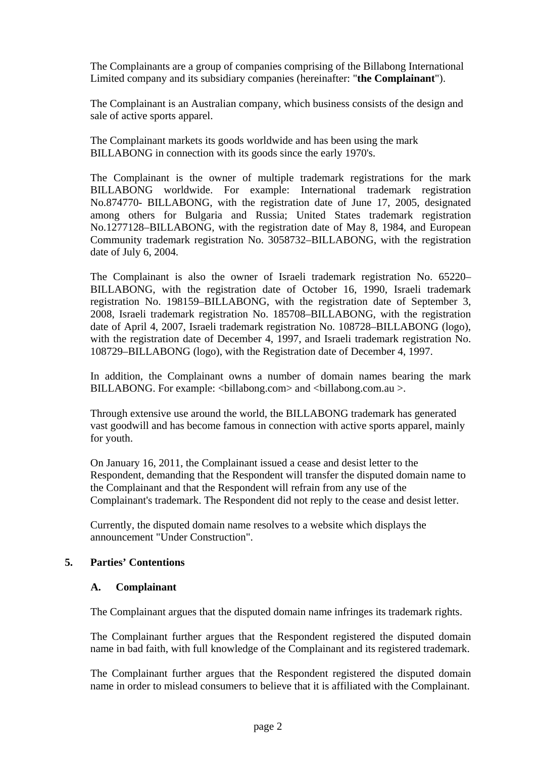The Complainants are a group of companies comprising of the Billabong International Limited company and its subsidiary companies (hereinafter: "**the Complainant**").

The Complainant is an Australian company, which business consists of the design and sale of active sports apparel.

The Complainant markets its goods worldwide and has been using the mark BILLABONG in connection with its goods since the early 1970's.

The Complainant is the owner of multiple trademark registrations for the mark BILLABONG worldwide. For example: International trademark registration No.874770- BILLABONG, with the registration date of June 17, 2005, designated among others for Bulgaria and Russia; United States trademark registration No.1277128–BILLABONG, with the registration date of May 8, 1984, and European Community trademark registration No. 3058732–BILLABONG, with the registration date of July 6, 2004.

The Complainant is also the owner of Israeli trademark registration No. 65220– BILLABONG, with the registration date of October 16, 1990, Israeli trademark registration No. 198159–BILLABONG, with the registration date of September 3, 2008, Israeli trademark registration No. 185708–BILLABONG, with the registration date of April 4, 2007, Israeli trademark registration No. 108728–BILLABONG (logo), with the registration date of December 4, 1997, and Israeli trademark registration No. 108729–BILLABONG (logo), with the Registration date of December 4, 1997.

In addition, the Complainant owns a number of domain names bearing the mark BILLABONG. For example: <br/> <br/>billabong.com> and <br/> <br/>shillabong.com.au >.

Through extensive use around the world, the BILLABONG trademark has generated vast goodwill and has become famous in connection with active sports apparel, mainly for youth.

On January 16, 2011, the Complainant issued a cease and desist letter to the Respondent, demanding that the Respondent will transfer the disputed domain name to the Complainant and that the Respondent will refrain from any use of the Complainant's trademark. The Respondent did not reply to the cease and desist letter.

Currently, the disputed domain name resolves to a website which displays the announcement "Under Construction".

### **5. Parties' Contentions**

#### **A. Complainant**

The Complainant argues that the disputed domain name infringes its trademark rights.

The Complainant further argues that the Respondent registered the disputed domain name in bad faith, with full knowledge of the Complainant and its registered trademark.

The Complainant further argues that the Respondent registered the disputed domain name in order to mislead consumers to believe that it is affiliated with the Complainant.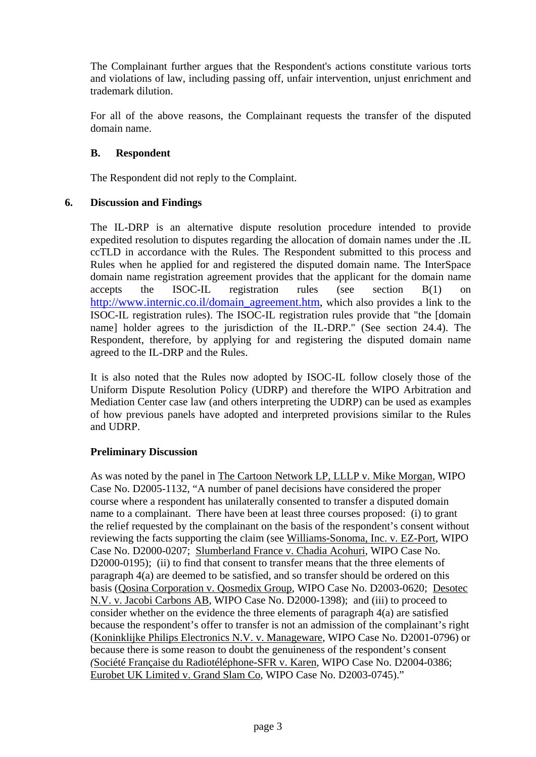The Complainant further argues that the Respondent's actions constitute various torts and violations of law, including passing off, unfair intervention, unjust enrichment and trademark dilution.

For all of the above reasons, the Complainant requests the transfer of the disputed domain name.

## **B. Respondent**

The Respondent did not reply to the Complaint.

### **6. Discussion and Findings**

The IL-DRP is an alternative dispute resolution procedure intended to provide expedited resolution to disputes regarding the allocation of domain names under the .IL ccTLD in accordance with the Rules. The Respondent submitted to this process and Rules when he applied for and registered the disputed domain name. The InterSpace domain name registration agreement provides that the applicant for the domain name accepts the ISOC-IL registration rules (see section B(1) on http://www.internic.co.il/domain\_agreement.htm, which also provides a link to the ISOC-IL registration rules). The ISOC-IL registration rules provide that "the [domain name] holder agrees to the jurisdiction of the IL-DRP." (See section 24.4). The Respondent, therefore, by applying for and registering the disputed domain name agreed to the IL-DRP and the Rules.

It is also noted that the Rules now adopted by ISOC-IL follow closely those of the Uniform Dispute Resolution Policy (UDRP) and therefore the WIPO Arbitration and Mediation Center case law (and others interpreting the UDRP) can be used as examples of how previous panels have adopted and interpreted provisions similar to the Rules and UDRP.

# **Preliminary Discussion**

As was noted by the panel in The Cartoon Network LP, LLLP v. Mike Morgan, WIPO Case No. D2005-1132, "A number of panel decisions have considered the proper course where a respondent has unilaterally consented to transfer a disputed domain name to a complainant. There have been at least three courses proposed: (i) to grant the relief requested by the complainant on the basis of the respondent's consent without reviewing the facts supporting the claim (see Williams-Sonoma, Inc. v. EZ-Port, WIPO Case No. D2000-0207; Slumberland France v. Chadia Acohuri, WIPO Case No. D2000-0195); (ii) to find that consent to transfer means that the three elements of paragraph 4(a) are deemed to be satisfied, and so transfer should be ordered on this basis (Qosina Corporation v. Qosmedix Group, WIPO Case No. D2003-0620; Desotec N.V. v. Jacobi Carbons AB, WIPO Case No. D2000-1398); and (iii) to proceed to consider whether on the evidence the three elements of paragraph 4(a) are satisfied because the respondent's offer to transfer is not an admission of the complainant's right (Koninklijke Philips Electronics N.V. v. Manageware, WIPO Case No. D2001-0796) or because there is some reason to doubt the genuineness of the respondent's consent *(*Société Française du Radiotéléphone-SFR v. Karen*,* WIPO Case No. D2004-0386; Eurobet UK Limited v. Grand Slam Co, WIPO Case No. D2003-0745)."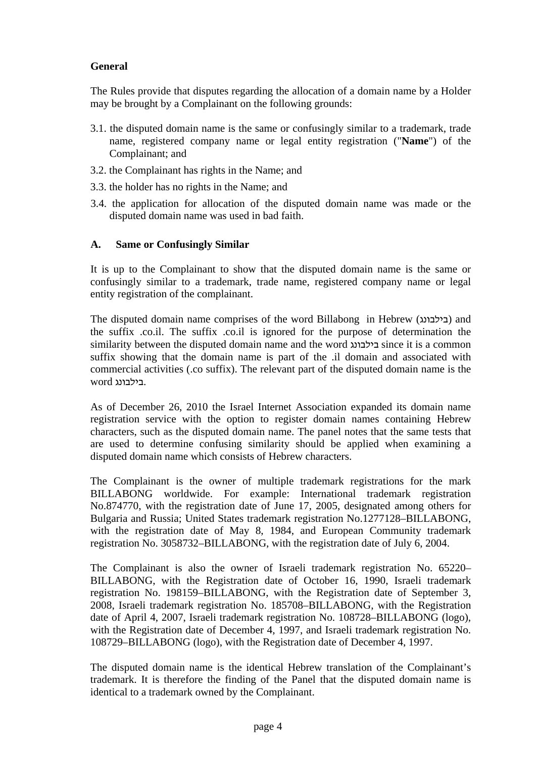# **General**

The Rules provide that disputes regarding the allocation of a domain name by a Holder may be brought by a Complainant on the following grounds:

- 3.1. the disputed domain name is the same or confusingly similar to a trademark, trade name, registered company name or legal entity registration ("**Name**") of the Complainant; and
- 3.2. the Complainant has rights in the Name; and
- 3.3. the holder has no rights in the Name; and
- 3.4. the application for allocation of the disputed domain name was made or the disputed domain name was used in bad faith.

### **A. Same or Confusingly Similar**

It is up to the Complainant to show that the disputed domain name is the same or confusingly similar to a trademark, trade name, registered company name or legal entity registration of the complainant.

The disputed domain name comprises of the word Billabong in Hebrew (בילבונג) and the suffix .co.il. The suffix .co.il is ignored for the purpose of determination the similarity between the disputed domain name and the word בילבונג since it is a common suffix showing that the domain name is part of the .il domain and associated with commercial activities (.co suffix). The relevant part of the disputed domain name is the .בילבונג word

As of December 26, 2010 the Israel Internet Association expanded its domain name registration service with the option to register domain names containing Hebrew characters, such as the disputed domain name. The panel notes that the same tests that are used to determine confusing similarity should be applied when examining a disputed domain name which consists of Hebrew characters.

The Complainant is the owner of multiple trademark registrations for the mark BILLABONG worldwide. For example: International trademark registration No.874770, with the registration date of June 17, 2005, designated among others for Bulgaria and Russia; United States trademark registration No.1277128–BILLABONG, with the registration date of May 8, 1984, and European Community trademark registration No. 3058732–BILLABONG, with the registration date of July 6, 2004.

The Complainant is also the owner of Israeli trademark registration No. 65220– BILLABONG, with the Registration date of October 16, 1990, Israeli trademark registration No. 198159–BILLABONG, with the Registration date of September 3, 2008, Israeli trademark registration No. 185708–BILLABONG, with the Registration date of April 4, 2007, Israeli trademark registration No. 108728–BILLABONG (logo), with the Registration date of December 4, 1997, and Israeli trademark registration No. 108729–BILLABONG (logo), with the Registration date of December 4, 1997.

The disputed domain name is the identical Hebrew translation of the Complainant's trademark. It is therefore the finding of the Panel that the disputed domain name is identical to a trademark owned by the Complainant.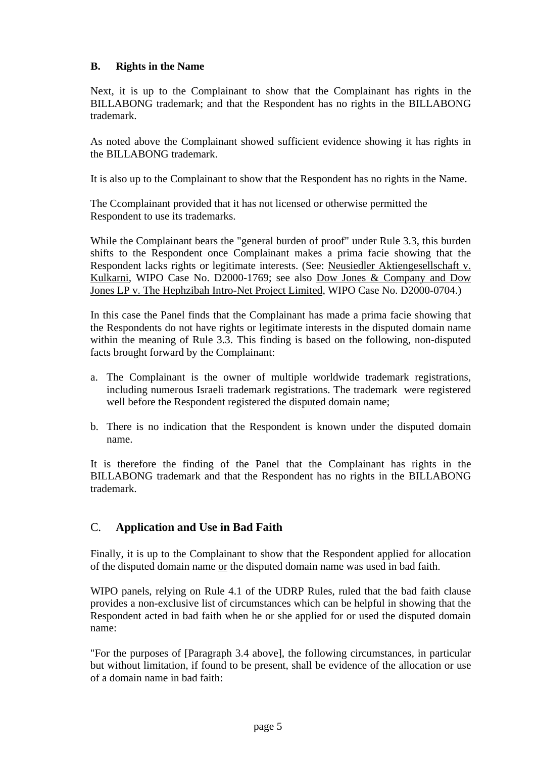# **B. Rights in the Name**

Next, it is up to the Complainant to show that the Complainant has rights in the BILLABONG trademark; and that the Respondent has no rights in the BILLABONG trademark.

As noted above the Complainant showed sufficient evidence showing it has rights in the BILLABONG trademark.

It is also up to the Complainant to show that the Respondent has no rights in the Name.

The Ccomplainant provided that it has not licensed or otherwise permitted the Respondent to use its trademarks.

While the Complainant bears the "general burden of proof" under Rule 3.3, this burden shifts to the Respondent once Complainant makes a prima facie showing that the Respondent lacks rights or legitimate interests. (See: Neusiedler Aktiengesellschaft v. Kulkarni, WIPO Case No. D2000-1769; see also Dow Jones & Company and Dow Jones LP v. The Hephzibah Intro-Net Project Limited, WIPO Case No. D2000-0704.)

In this case the Panel finds that the Complainant has made a prima facie showing that the Respondents do not have rights or legitimate interests in the disputed domain name within the meaning of Rule 3.3. This finding is based on the following, non-disputed facts brought forward by the Complainant:

- a. The Complainant is the owner of multiple worldwide trademark registrations, including numerous Israeli trademark registrations. The trademark were registered well before the Respondent registered the disputed domain name;
- b. There is no indication that the Respondent is known under the disputed domain name.

It is therefore the finding of the Panel that the Complainant has rights in the BILLABONG trademark and that the Respondent has no rights in the BILLABONG trademark.

# C. **Application and Use in Bad Faith**

Finally, it is up to the Complainant to show that the Respondent applied for allocation of the disputed domain name or the disputed domain name was used in bad faith.

WIPO panels, relying on Rule 4.1 of the UDRP Rules, ruled that the bad faith clause provides a non-exclusive list of circumstances which can be helpful in showing that the Respondent acted in bad faith when he or she applied for or used the disputed domain name:

"For the purposes of [Paragraph 3.4 above], the following circumstances, in particular but without limitation, if found to be present, shall be evidence of the allocation or use of a domain name in bad faith: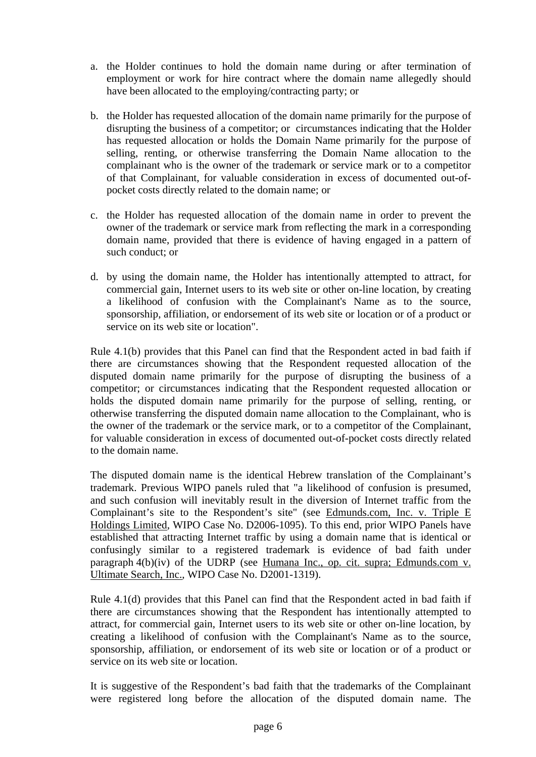- a. the Holder continues to hold the domain name during or after termination of employment or work for hire contract where the domain name allegedly should have been allocated to the employing/contracting party; or
- b. the Holder has requested allocation of the domain name primarily for the purpose of disrupting the business of a competitor; or circumstances indicating that the Holder has requested allocation or holds the Domain Name primarily for the purpose of selling, renting, or otherwise transferring the Domain Name allocation to the complainant who is the owner of the trademark or service mark or to a competitor of that Complainant, for valuable consideration in excess of documented out-ofpocket costs directly related to the domain name; or
- c. the Holder has requested allocation of the domain name in order to prevent the owner of the trademark or service mark from reflecting the mark in a corresponding domain name, provided that there is evidence of having engaged in a pattern of such conduct; or
- d. by using the domain name, the Holder has intentionally attempted to attract, for commercial gain, Internet users to its web site or other on-line location, by creating a likelihood of confusion with the Complainant's Name as to the source, sponsorship, affiliation, or endorsement of its web site or location or of a product or service on its web site or location".

Rule 4.1(b) provides that this Panel can find that the Respondent acted in bad faith if there are circumstances showing that the Respondent requested allocation of the disputed domain name primarily for the purpose of disrupting the business of a competitor; or circumstances indicating that the Respondent requested allocation or holds the disputed domain name primarily for the purpose of selling, renting, or otherwise transferring the disputed domain name allocation to the Complainant, who is the owner of the trademark or the service mark, or to a competitor of the Complainant, for valuable consideration in excess of documented out-of-pocket costs directly related to the domain name.

The disputed domain name is the identical Hebrew translation of the Complainant's trademark. Previous WIPO panels ruled that "a likelihood of confusion is presumed, and such confusion will inevitably result in the diversion of Internet traffic from the Complainant's site to the Respondent's site" (see Edmunds.com, Inc. v. Triple E Holdings Limited, WIPO Case No. D2006-1095). To this end, prior WIPO Panels have established that attracting Internet traffic by using a domain name that is identical or confusingly similar to a registered trademark is evidence of bad faith under paragraph 4(b)(iv) of the UDRP (see Humana Inc., op. cit. supra; Edmunds.com v. Ultimate Search, Inc., WIPO Case No. D2001-1319).

Rule 4.1(d) provides that this Panel can find that the Respondent acted in bad faith if there are circumstances showing that the Respondent has intentionally attempted to attract, for commercial gain, Internet users to its web site or other on-line location, by creating a likelihood of confusion with the Complainant's Name as to the source, sponsorship, affiliation, or endorsement of its web site or location or of a product or service on its web site or location.

It is suggestive of the Respondent's bad faith that the trademarks of the Complainant were registered long before the allocation of the disputed domain name. The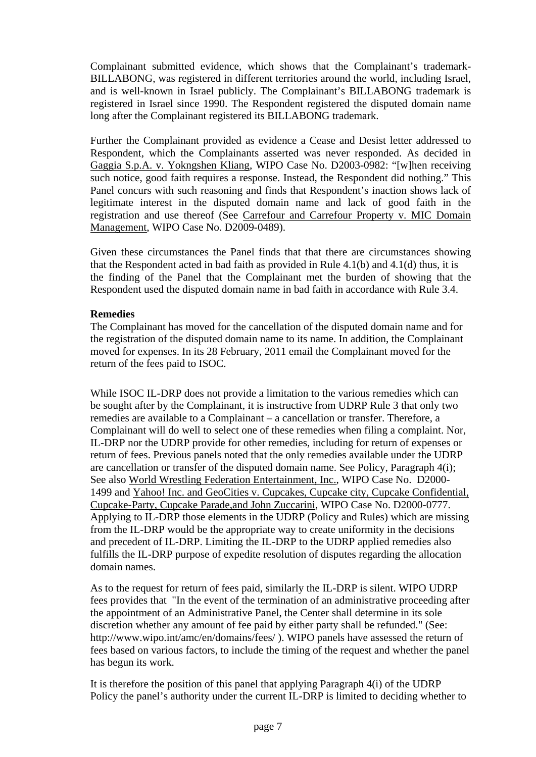Complainant submitted evidence, which shows that the Complainant's trademark-BILLABONG, was registered in different territories around the world, including Israel, and is well-known in Israel publicly. The Complainant's BILLABONG trademark is registered in Israel since 1990. The Respondent registered the disputed domain name long after the Complainant registered its BILLABONG trademark.

Further the Complainant provided as evidence a Cease and Desist letter addressed to Respondent, which the Complainants asserted was never responded. As decided in Gaggia S.p.A. v. Yokngshen Kliang, WIPO Case No. D2003-0982: "[w]hen receiving such notice, good faith requires a response. Instead, the Respondent did nothing." This Panel concurs with such reasoning and finds that Respondent's inaction shows lack of legitimate interest in the disputed domain name and lack of good faith in the registration and use thereof (See Carrefour and Carrefour Property v. MIC Domain Management, WIPO Case No. D2009-0489).

Given these circumstances the Panel finds that that there are circumstances showing that the Respondent acted in bad faith as provided in Rule 4.1(b) and 4.1(d) thus, it is the finding of the Panel that the Complainant met the burden of showing that the Respondent used the disputed domain name in bad faith in accordance with Rule 3.4.

### **Remedies**

The Complainant has moved for the cancellation of the disputed domain name and for the registration of the disputed domain name to its name. In addition, the Complainant moved for expenses. In its 28 February, 2011 email the Complainant moved for the return of the fees paid to ISOC.

While ISOC IL-DRP does not provide a limitation to the various remedies which can be sought after by the Complainant, it is instructive from UDRP Rule 3 that only two remedies are available to a Complainant – a cancellation or transfer. Therefore, a Complainant will do well to select one of these remedies when filing a complaint. Nor, IL-DRP nor the UDRP provide for other remedies, including for return of expenses or return of fees. Previous panels noted that the only remedies available under the UDRP are cancellation or transfer of the disputed domain name. See Policy, Paragraph 4(i); See also World Wrestling Federation Entertainment, Inc., WIPO Case No. D2000- 1499 and Yahoo! Inc. and GeoCities v. Cupcakes, Cupcake city, Cupcake Confidential, Cupcake-Party, Cupcake Parade,and John Zuccarini, WIPO Case No. D2000-0777. Applying to IL-DRP those elements in the UDRP (Policy and Rules) which are missing from the IL-DRP would be the appropriate way to create uniformity in the decisions and precedent of IL-DRP. Limiting the IL-DRP to the UDRP applied remedies also fulfills the IL-DRP purpose of expedite resolution of disputes regarding the allocation domain names.

As to the request for return of fees paid, similarly the IL-DRP is silent. WIPO UDRP fees provides that "In the event of the termination of an administrative proceeding after the appointment of an Administrative Panel, the Center shall determine in its sole discretion whether any amount of fee paid by either party shall be refunded." (See: http://www.wipo.int/amc/en/domains/fees/ ). WIPO panels have assessed the return of fees based on various factors, to include the timing of the request and whether the panel has begun its work.

It is therefore the position of this panel that applying Paragraph 4(i) of the UDRP Policy the panel's authority under the current IL-DRP is limited to deciding whether to